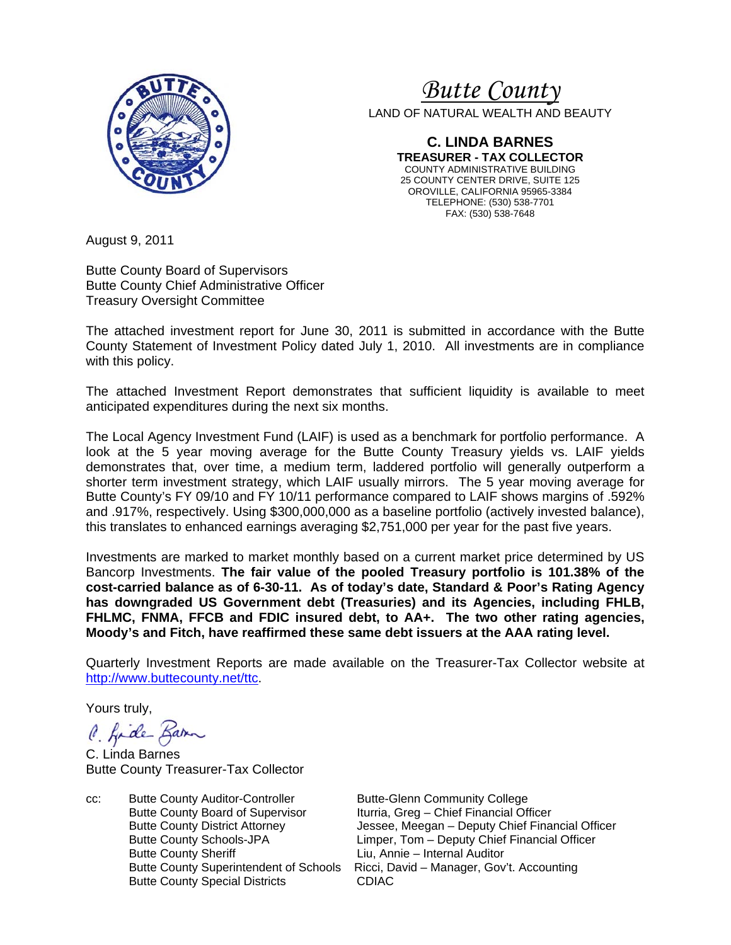

# *Butte County*

LAND OF NATURAL WEALTH AND BEAUTY

**C. LINDA BARNES TREASURER - TAX COLLECTOR**  COUNTY ADMINISTRATIVE BUILDING 25 COUNTY CENTER DRIVE, SUITE 125 OROVILLE, CALIFORNIA 95965-3384 TELEPHONE: (530) 538-7701 FAX: (530) 538-7648

August 9, 2011

Butte County Board of Supervisors Butte County Chief Administrative Officer Treasury Oversight Committee

The attached investment report for June 30, 2011 is submitted in accordance with the Butte County Statement of Investment Policy dated July 1, 2010. All investments are in compliance with this policy.

The attached Investment Report demonstrates that sufficient liquidity is available to meet anticipated expenditures during the next six months.

The Local Agency Investment Fund (LAIF) is used as a benchmark for portfolio performance. A look at the 5 year moving average for the Butte County Treasury yields vs. LAIF yields demonstrates that, over time, a medium term, laddered portfolio will generally outperform a shorter term investment strategy, which LAIF usually mirrors. The 5 year moving average for Butte County's FY 09/10 and FY 10/11 performance compared to LAIF shows margins of .592% and .917%, respectively. Using \$300,000,000 as a baseline portfolio (actively invested balance), this translates to enhanced earnings averaging \$2,751,000 per year for the past five years.

Investments are marked to market monthly based on a current market price determined by US Bancorp Investments. **The fair value of the pooled Treasury portfolio is 101.38% of the cost-carried balance as of 6-30-11. As of today's date, Standard & Poor's Rating Agency has downgraded US Government debt (Treasuries) and its Agencies, including FHLB, FHLMC, FNMA, FFCB and FDIC insured debt, to AA+. The two other rating agencies, Moody's and Fitch, have reaffirmed these same debt issuers at the AAA rating level.**

Quarterly Investment Reports are made available on the Treasurer-Tax Collector website at http://www.buttecounty.net/ttc.

Yours truly,

C. Kide Barn

C. Linda Barnes Butte County Treasurer-Tax Collector

cc: Butte County Auditor-Controller Butte-Glenn Community College Butte County Board of Supervisor Iturria, Greg – Chief Financial Officer<br>Butte County District Attorney **Itury Stater Upsalery** Jessee, Meegan – Deputy Chief Fina Butte County Sheriff **Liu, Annie – Internal Auditor** Butte County Special Districts CDIAC

Jessee, Meegan – Deputy Chief Financial Officer Butte County Schools-JPA Limper, Tom – Deputy Chief Financial Officer Butte County Superintendent of Schools Ricci, David – Manager, Gov't. Accounting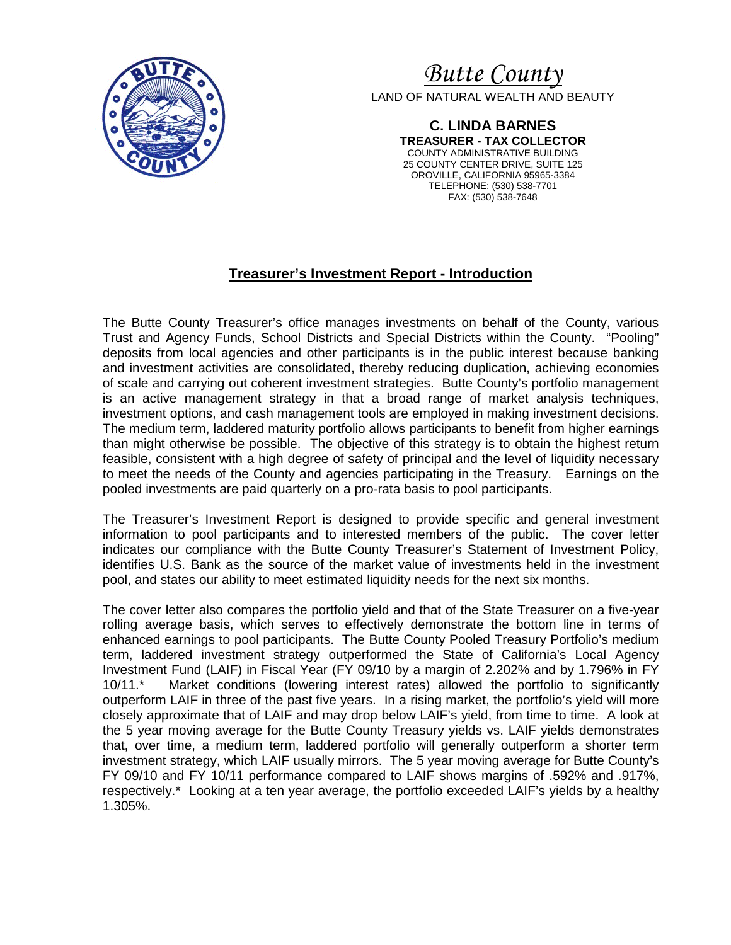

*Butte County* LAND OF NATURAL WEALTH AND BEAUTY

> **C. LINDA BARNES TREASURER - TAX COLLECTOR**  COUNTY ADMINISTRATIVE BUILDING 25 COUNTY CENTER DRIVE, SUITE 125 OROVILLE, CALIFORNIA 95965-3384 TELEPHONE: (530) 538-7701 FAX: (530) 538-7648

## **Treasurer's Investment Report - Introduction**

The Butte County Treasurer's office manages investments on behalf of the County, various Trust and Agency Funds, School Districts and Special Districts within the County. "Pooling" deposits from local agencies and other participants is in the public interest because banking and investment activities are consolidated, thereby reducing duplication, achieving economies of scale and carrying out coherent investment strategies. Butte County's portfolio management is an active management strategy in that a broad range of market analysis techniques, investment options, and cash management tools are employed in making investment decisions. The medium term, laddered maturity portfolio allows participants to benefit from higher earnings than might otherwise be possible. The objective of this strategy is to obtain the highest return feasible, consistent with a high degree of safety of principal and the level of liquidity necessary to meet the needs of the County and agencies participating in the Treasury. Earnings on the pooled investments are paid quarterly on a pro-rata basis to pool participants.

The Treasurer's Investment Report is designed to provide specific and general investment information to pool participants and to interested members of the public. The cover letter indicates our compliance with the Butte County Treasurer's Statement of Investment Policy, identifies U.S. Bank as the source of the market value of investments held in the investment pool, and states our ability to meet estimated liquidity needs for the next six months.

The cover letter also compares the portfolio yield and that of the State Treasurer on a five-year rolling average basis, which serves to effectively demonstrate the bottom line in terms of enhanced earnings to pool participants. The Butte County Pooled Treasury Portfolio's medium term, laddered investment strategy outperformed the State of California's Local Agency Investment Fund (LAIF) in Fiscal Year (FY 09/10 by a margin of 2.202% and by 1.796% in FY 10/11.\* Market conditions (lowering interest rates) allowed the portfolio to significantly outperform LAIF in three of the past five years. In a rising market, the portfolio's yield will more closely approximate that of LAIF and may drop below LAIF's yield, from time to time. A look at the 5 year moving average for the Butte County Treasury yields vs. LAIF yields demonstrates that, over time, a medium term, laddered portfolio will generally outperform a shorter term investment strategy, which LAIF usually mirrors. The 5 year moving average for Butte County's FY 09/10 and FY 10/11 performance compared to LAIF shows margins of .592% and .917%, respectively.\* Looking at a ten year average, the portfolio exceeded LAIF's yields by a healthy 1.305%.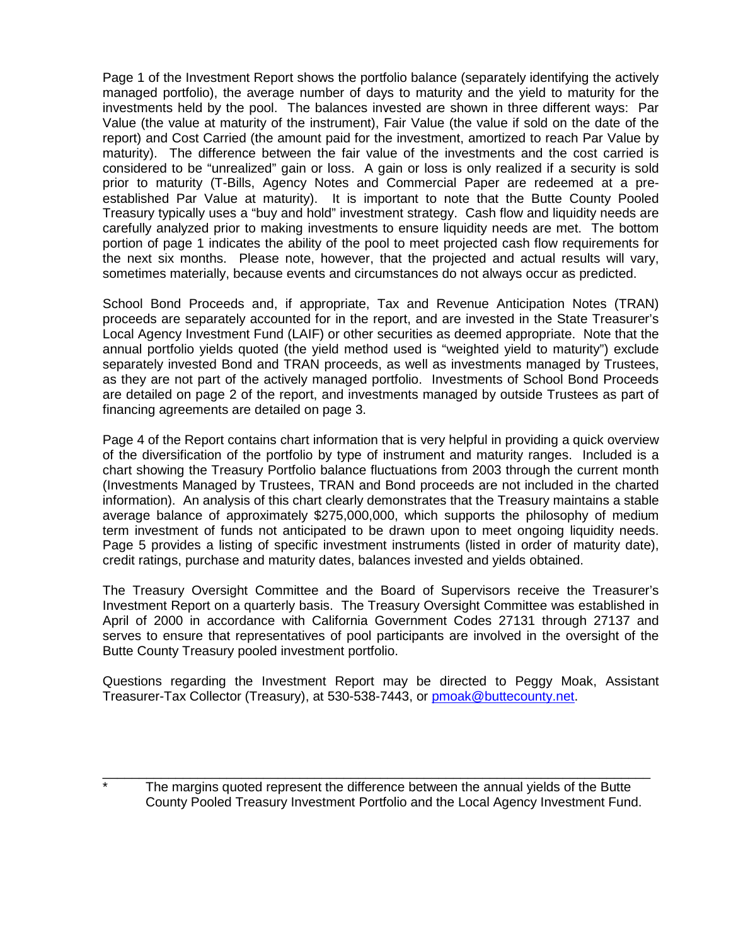Page 1 of the Investment Report shows the portfolio balance (separately identifying the actively managed portfolio), the average number of days to maturity and the yield to maturity for the investments held by the pool. The balances invested are shown in three different ways: Par Value (the value at maturity of the instrument), Fair Value (the value if sold on the date of the report) and Cost Carried (the amount paid for the investment, amortized to reach Par Value by maturity). The difference between the fair value of the investments and the cost carried is considered to be "unrealized" gain or loss. A gain or loss is only realized if a security is sold prior to maturity (T-Bills, Agency Notes and Commercial Paper are redeemed at a preestablished Par Value at maturity). It is important to note that the Butte County Pooled Treasury typically uses a "buy and hold" investment strategy. Cash flow and liquidity needs are carefully analyzed prior to making investments to ensure liquidity needs are met. The bottom portion of page 1 indicates the ability of the pool to meet projected cash flow requirements for the next six months. Please note, however, that the projected and actual results will vary, sometimes materially, because events and circumstances do not always occur as predicted.

School Bond Proceeds and, if appropriate, Tax and Revenue Anticipation Notes (TRAN) proceeds are separately accounted for in the report, and are invested in the State Treasurer's Local Agency Investment Fund (LAIF) or other securities as deemed appropriate. Note that the annual portfolio yields quoted (the yield method used is "weighted yield to maturity") exclude separately invested Bond and TRAN proceeds, as well as investments managed by Trustees, as they are not part of the actively managed portfolio. Investments of School Bond Proceeds are detailed on page 2 of the report, and investments managed by outside Trustees as part of financing agreements are detailed on page 3.

Page 4 of the Report contains chart information that is very helpful in providing a quick overview of the diversification of the portfolio by type of instrument and maturity ranges. Included is a chart showing the Treasury Portfolio balance fluctuations from 2003 through the current month (Investments Managed by Trustees, TRAN and Bond proceeds are not included in the charted information). An analysis of this chart clearly demonstrates that the Treasury maintains a stable average balance of approximately \$275,000,000, which supports the philosophy of medium term investment of funds not anticipated to be drawn upon to meet ongoing liquidity needs. Page 5 provides a listing of specific investment instruments (listed in order of maturity date), credit ratings, purchase and maturity dates, balances invested and yields obtained.

The Treasury Oversight Committee and the Board of Supervisors receive the Treasurer's Investment Report on a quarterly basis. The Treasury Oversight Committee was established in April of 2000 in accordance with California Government Codes 27131 through 27137 and serves to ensure that representatives of pool participants are involved in the oversight of the Butte County Treasury pooled investment portfolio.

Questions regarding the Investment Report may be directed to Peggy Moak, Assistant Treasurer-Tax Collector (Treasury), at 530-538-7443, or pmoak@buttecounty.net.

The margins quoted represent the difference between the annual yields of the Butte County Pooled Treasury Investment Portfolio and the Local Agency Investment Fund.

\_\_\_\_\_\_\_\_\_\_\_\_\_\_\_\_\_\_\_\_\_\_\_\_\_\_\_\_\_\_\_\_\_\_\_\_\_\_\_\_\_\_\_\_\_\_\_\_\_\_\_\_\_\_\_\_\_\_\_\_\_\_\_\_\_\_\_\_\_\_\_\_\_\_\_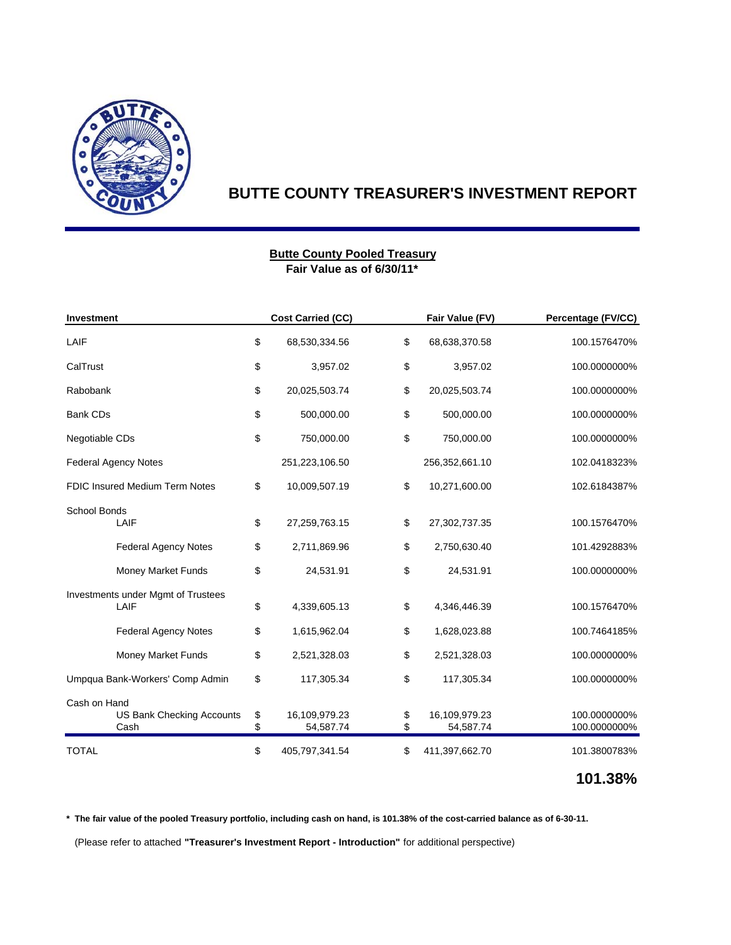

#### **Fair Value as of 6/30/11\* Butte County Pooled Treasury**

| Investment                                        |          | <b>Cost Carried (CC)</b>   |          | Fair Value (FV)            | Percentage (FV/CC)           |  |
|---------------------------------------------------|----------|----------------------------|----------|----------------------------|------------------------------|--|
| LAIF                                              |          | 68,530,334.56              | \$       | 68,638,370.58              | 100.1576470%                 |  |
| CalTrust                                          | \$       | 3,957.02                   | \$       | 3,957.02                   | 100.0000000%                 |  |
| Rabobank                                          | \$       | 20,025,503.74              | \$       | 20,025,503.74              | 100.0000000%                 |  |
| <b>Bank CDs</b>                                   | \$       | 500,000.00                 | \$       | 500,000.00                 | 100.0000000%                 |  |
| Negotiable CDs                                    | \$       | 750,000.00                 | \$       | 750,000.00                 | 100.0000000%                 |  |
| <b>Federal Agency Notes</b>                       |          | 251,223,106.50             |          | 256,352,661.10             | 102.0418323%                 |  |
| <b>FDIC Insured Medium Term Notes</b>             | \$       | 10,009,507.19              | \$       | 10,271,600.00              | 102.6184387%                 |  |
| School Bonds<br>LAIF                              |          | 27,259,763.15              | \$       | 27,302,737.35              | 100.1576470%                 |  |
| <b>Federal Agency Notes</b>                       | \$       | 2,711,869.96               | \$       | 2,750,630.40               | 101.4292883%                 |  |
| Money Market Funds                                | \$       | 24,531.91                  | \$       | 24,531.91                  | 100.0000000%                 |  |
| Investments under Mgmt of Trustees<br>LAIF        |          | 4,339,605.13               | \$       | 4,346,446.39               | 100.1576470%                 |  |
| <b>Federal Agency Notes</b>                       | \$       | 1,615,962.04               | \$       | 1,628,023.88               | 100.7464185%                 |  |
| Money Market Funds                                | \$       | 2,521,328.03               | \$       | 2,521,328.03               | 100.0000000%                 |  |
| Umpqua Bank-Workers' Comp Admin                   | \$       | 117,305.34                 | \$       | 117,305.34                 | 100.0000000%                 |  |
| Cash on Hand<br>US Bank Checking Accounts<br>Cash | \$<br>\$ | 16,109,979.23<br>54,587.74 | \$<br>\$ | 16,109,979.23<br>54,587.74 | 100.0000000%<br>100.0000000% |  |
| <b>TOTAL</b>                                      | \$       | 405,797,341.54             | \$       | 411,397,662.70             | 101.3800783%                 |  |

# **101.38%**

**\* The fair value of the pooled Treasury portfolio, including cash on hand, is 101.38% of the cost-carried balance as of 6-30-11.**

(Please refer to attached **"Treasurer's Investment Report - Introduction"** for additional perspective)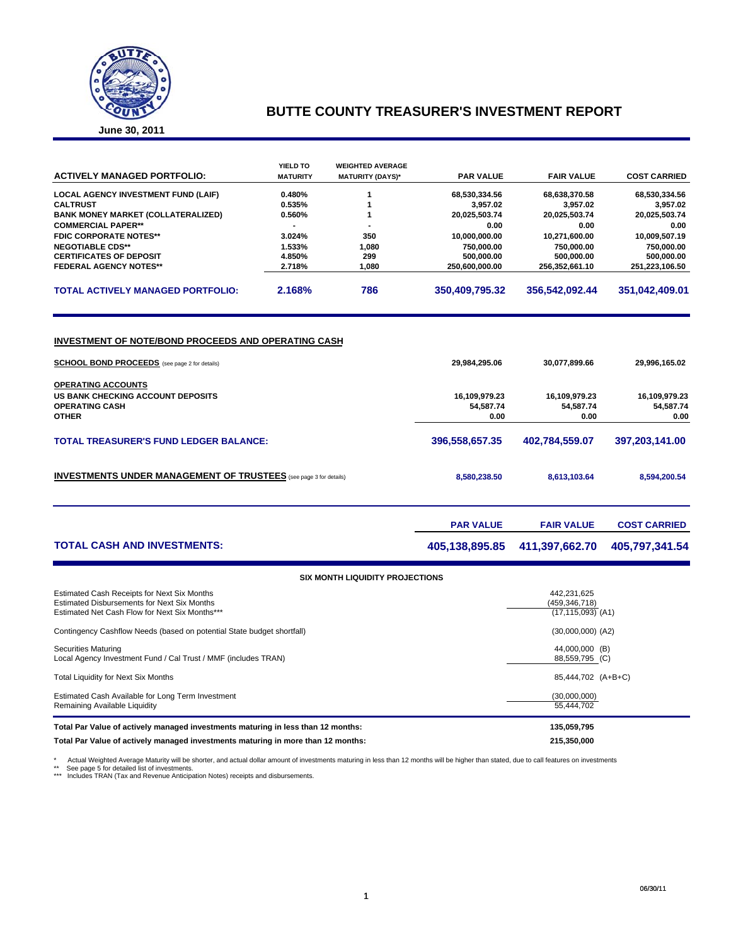

|  | June 30, 2011 |
|--|---------------|
|--|---------------|

|                                                                                                                                                     | <b>YIELD TO</b>  | <b>WEIGHTED AVERAGE</b>          |                                    |                                                         |                                    |
|-----------------------------------------------------------------------------------------------------------------------------------------------------|------------------|----------------------------------|------------------------------------|---------------------------------------------------------|------------------------------------|
| <b>ACTIVELY MANAGED PORTFOLIO:</b>                                                                                                                  | <b>MATURITY</b>  | <b>MATURITY (DAYS)*</b>          | <b>PAR VALUE</b>                   | <b>FAIR VALUE</b>                                       | <b>COST CARRIED</b>                |
| <b>LOCAL AGENCY INVESTMENT FUND (LAIF)</b>                                                                                                          | 0.480%           | 1                                | 68,530,334.56                      | 68,638,370.58                                           | 68,530,334.56                      |
| <b>CALTRUST</b>                                                                                                                                     | 0.535%           | 1                                | 3,957.02                           | 3,957.02                                                | 3,957.02                           |
| <b>BANK MONEY MARKET (COLLATERALIZED)</b>                                                                                                           | 0.560%           | 1                                | 20,025,503.74                      | 20,025,503.74                                           | 20,025,503.74                      |
| <b>COMMERCIAL PAPER**</b>                                                                                                                           |                  |                                  | 0.00                               | 0.00                                                    | 0.00                               |
| <b>FDIC CORPORATE NOTES**</b>                                                                                                                       | 3.024%           | 350                              | 10,000,000.00                      | 10,271,600.00                                           | 10,009,507.19                      |
| <b>NEGOTIABLE CDS**</b>                                                                                                                             | 1.533%           | 1,080                            | 750,000.00                         | 750,000.00                                              | 750,000.00                         |
| <b>CERTIFICATES OF DEPOSIT</b><br><b>FEDERAL AGENCY NOTES**</b>                                                                                     | 4.850%<br>2.718% | 299<br>1,080                     | 500,000.00<br>250,600,000.00       | 500,000.00<br>256,352,661.10                            | 500,000.00                         |
|                                                                                                                                                     |                  |                                  |                                    |                                                         | 251,223,106.50                     |
| <b>TOTAL ACTIVELY MANAGED PORTFOLIO:</b>                                                                                                            | 2.168%           | 786                              | 350,409,795.32<br>356,542,092.44   |                                                         | 351,042,409.01                     |
| <b>INVESTMENT OF NOTE/BOND PROCEEDS AND OPERATING CASH</b><br><b>SCHOOL BOND PROCEEDS</b> (see page 2 for details)                                  |                  |                                  | 29,984,295.06                      | 30,077,899.66                                           | 29,996,165.02                      |
| <b>OPERATING ACCOUNTS</b><br>US BANK CHECKING ACCOUNT DEPOSITS<br><b>OPERATING CASH</b><br><b>OTHER</b>                                             |                  |                                  | 16,109,979.23<br>54,587.74<br>0.00 | 16,109,979.23<br>54,587.74<br>0.00                      | 16,109,979.23<br>54,587.74<br>0.00 |
| <b>TOTAL TREASURER'S FUND LEDGER BALANCE:</b>                                                                                                       |                  | 396,558,657.35                   | 402,784,559.07                     | 397,203,141.00                                          |                                    |
| <b>INVESTMENTS UNDER MANAGEMENT OF TRUSTEES</b> (see page 3 for details)                                                                            |                  | 8,580,238.50                     | 8,613,103.64                       | 8,594,200.54                                            |                                    |
|                                                                                                                                                     |                  |                                  | <b>PAR VALUE</b>                   | <b>FAIR VALUE</b>                                       | <b>COST CARRIED</b>                |
| <b>TOTAL CASH AND INVESTMENTS:</b>                                                                                                                  |                  |                                  | 405,138,895.85                     | 411,397,662.70                                          | 405,797,341.54                     |
|                                                                                                                                                     |                  | SIX MONTH LIQUIDITY PROJECTIONS  |                                    |                                                         |                                    |
| Estimated Cash Receipts for Next Six Months<br><b>Estimated Disbursements for Next Six Months</b><br>Estimated Net Cash Flow for Next Six Months*** |                  |                                  |                                    | 442,231,625<br>(459, 346, 718)<br>$(17, 115, 093)$ (A1) |                                    |
| Contingency Cashflow Needs (based on potential State budget shortfall)                                                                              |                  | $(30,000,000)$ $(A2)$            |                                    |                                                         |                                    |
| <b>Securities Maturing</b><br>Local Agency Investment Fund / Cal Trust / MMF (includes TRAN)                                                        |                  | 44,000,000 (B)<br>88,559,795 (C) |                                    |                                                         |                                    |
| Total Liquidity for Next Six Months                                                                                                                 |                  |                                  | 85,444,702 (A+B+C)                 |                                                         |                                    |
| Estimated Cash Available for Long Term Investment<br>Remaining Available Liquidity                                                                  |                  | (30,000,000)<br>55,444,702       |                                    |                                                         |                                    |

**Total Par Value of actively managed investments maturing in less than 12 months: 135,059,795 Total Par Value of actively managed investments maturing in more than 12 months: 215,350,000**

\* Actual Weighted Average Maturity will be shorter, and actual dollar amount of investments maturing in less than 12 months will be higher than stated, due to call features on investments<br>\*\* See page 5 for detailed list of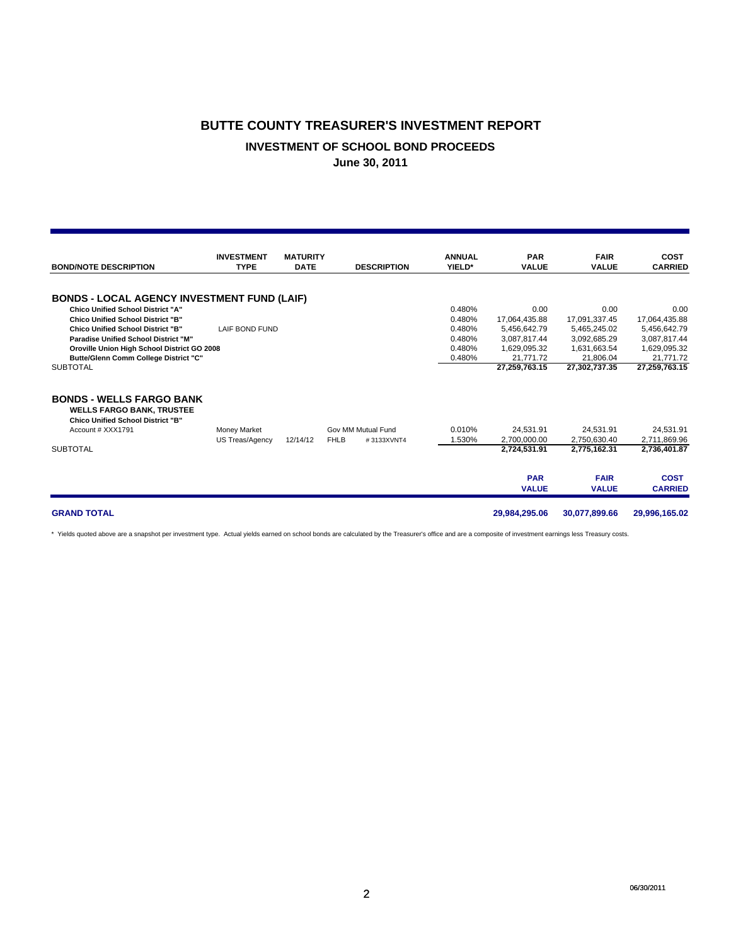#### **INVESTMENT OF SCHOOL BOND PROCEEDS**

**June 30, 2011**

| <b>BOND/NOTE DESCRIPTION</b>                                                                                                                                                                                                                                                                                                                     | <b>INVESTMENT</b><br><b>TYPE</b>              | <b>MATURITY</b><br><b>DATE</b> | <b>DESCRIPTION</b>                              | <b>ANNUAL</b><br>YIELD*                                  | <b>PAR</b><br><b>VALUE</b>                                                                          | <b>FAIR</b><br><b>VALUE</b>                                                                         | <b>COST</b><br><b>CARRIED</b>                                                                       |
|--------------------------------------------------------------------------------------------------------------------------------------------------------------------------------------------------------------------------------------------------------------------------------------------------------------------------------------------------|-----------------------------------------------|--------------------------------|-------------------------------------------------|----------------------------------------------------------|-----------------------------------------------------------------------------------------------------|-----------------------------------------------------------------------------------------------------|-----------------------------------------------------------------------------------------------------|
| <b>BONDS - LOCAL AGENCY INVESTMENT FUND (LAIF)</b><br><b>Chico Unified School District "A"</b><br><b>Chico Unified School District "B"</b><br><b>Chico Unified School District "B"</b><br><b>Paradise Unified School District "M"</b><br>Oroville Union High School District GO 2008<br>Butte/Glenn Comm College District "C"<br><b>SUBTOTAL</b> | LAIF BOND FUND                                |                                |                                                 | 0.480%<br>0.480%<br>0.480%<br>0.480%<br>0.480%<br>0.480% | 0.00<br>17,064,435.88<br>5,456,642.79<br>3,087,817.44<br>1,629,095.32<br>21.771.72<br>27,259,763.15 | 0.00<br>17,091,337.45<br>5.465.245.02<br>3,092,685.29<br>1,631,663.54<br>21.806.04<br>27,302,737.35 | 0.00<br>17,064,435.88<br>5,456,642.79<br>3,087,817.44<br>1,629,095.32<br>21,771.72<br>27,259,763.15 |
| <b>BONDS - WELLS FARGO BANK</b><br><b>WELLS FARGO BANK, TRUSTEE</b><br><b>Chico Unified School District "B"</b><br>Account # XXX1791<br><b>SUBTOTAL</b>                                                                                                                                                                                          | <b>Money Market</b><br><b>US Treas/Agency</b> | 12/14/12                       | Gov MM Mutual Fund<br><b>FHLB</b><br>#3133XVNT4 | 0.010%<br>1.530%                                         | 24.531.91<br>2,700,000.00<br>2,724,531.91<br><b>PAR</b><br><b>VALUE</b>                             | 24.531.91<br>2,750,630.40<br>2,775,162.31<br><b>FAIR</b><br><b>VALUE</b>                            | 24,531.91<br>2,711,869.96<br>2,736,401.87<br><b>COST</b><br><b>CARRIED</b>                          |
| <b>GRAND TOTAL</b>                                                                                                                                                                                                                                                                                                                               |                                               |                                |                                                 |                                                          | 29,984,295.06                                                                                       | 30,077,899.66                                                                                       | 29,996,165.02                                                                                       |

\* Yields quoted above are a snapshot per investment type. Actual yields earned on school bonds are calculated by the Treasurer's office and are a composite of investment earnings less Treasury costs.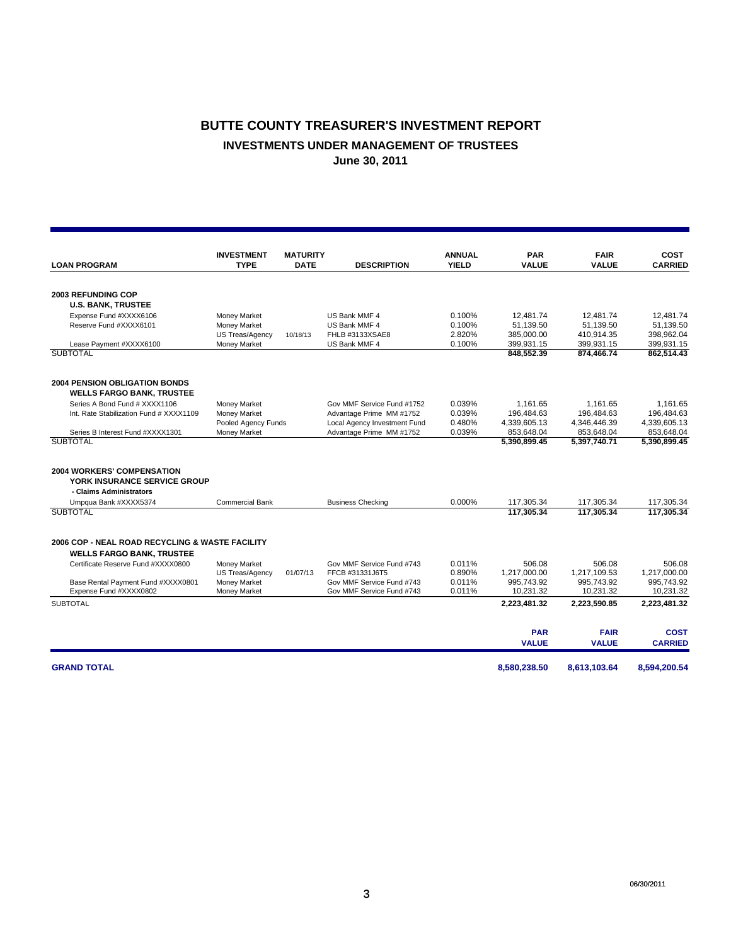## **BUTTE COUNTY TREASURER'S INVESTMENT REPORT INVESTMENTS UNDER MANAGEMENT OF TRUSTEES June 30, 2011**

|                                                 | <b>INVESTMENT</b>      | <b>MATURITY</b> |                              | <b>ANNUAL</b> | <b>PAR</b>   | <b>FAIR</b>  | <b>COST</b>    |
|-------------------------------------------------|------------------------|-----------------|------------------------------|---------------|--------------|--------------|----------------|
| <b>LOAN PROGRAM</b>                             | <b>TYPE</b>            | <b>DATE</b>     | <b>DESCRIPTION</b>           | <b>YIELD</b>  | <b>VALUE</b> | <b>VALUE</b> | <b>CARRIED</b> |
|                                                 |                        |                 |                              |               |              |              |                |
| <b>2003 REFUNDING COP</b>                       |                        |                 |                              |               |              |              |                |
| <b>U.S. BANK, TRUSTEE</b>                       |                        |                 |                              |               |              |              |                |
| Expense Fund #XXXX6106                          | Money Market           |                 | US Bank MMF 4                | 0.100%        | 12,481.74    | 12,481.74    | 12,481.74      |
| Reserve Fund #XXXX6101                          | Money Market           |                 | US Bank MMF 4                | 0.100%        | 51,139.50    | 51.139.50    | 51,139.50      |
|                                                 | <b>US Treas/Agency</b> | 10/18/13        | FHLB #3133XSAE8              | 2.820%        | 385,000.00   | 410,914.35   | 398,962.04     |
| Lease Payment #XXXX6100                         | Money Market           |                 | US Bank MMF 4                | 0.100%        | 399,931.15   | 399,931.15   | 399,931.15     |
| <b>SUBTOTAL</b>                                 |                        |                 |                              |               | 848,552.39   | 874,466.74   | 862,514.43     |
| <b>2004 PENSION OBLIGATION BONDS</b>            |                        |                 |                              |               |              |              |                |
| <b>WELLS FARGO BANK, TRUSTEE</b>                |                        |                 |                              |               |              |              |                |
| Series A Bond Fund # XXXX1106                   | Money Market           |                 | Gov MMF Service Fund #1752   | 0.039%        | 1,161.65     | 1.161.65     | 1,161.65       |
| Int. Rate Stabilization Fund # XXXX1109         | Money Market           |                 | Advantage Prime MM #1752     | 0.039%        | 196,484.63   | 196.484.63   | 196.484.63     |
|                                                 | Pooled Agency Funds    |                 | Local Agency Investment Fund | 0.480%        | 4,339,605.13 | 4,346,446.39 | 4,339,605.13   |
| Series B Interest Fund #XXXX1301                | Money Market           |                 | Advantage Prime MM #1752     | 0.039%        | 853,648.04   | 853,648.04   | 853,648.04     |
| <b>SUBTOTAL</b>                                 |                        |                 |                              |               | 5.390.899.45 | 5.397.740.71 | 5.390.899.45   |
| <b>2004 WORKERS' COMPENSATION</b>               |                        |                 |                              |               |              |              |                |
| YORK INSURANCE SERVICE GROUP                    |                        |                 |                              |               |              |              |                |
| - Claims Administrators                         |                        |                 |                              |               |              |              |                |
| Umpqua Bank #XXXX5374                           | <b>Commercial Bank</b> |                 | <b>Business Checking</b>     | 0.000%        | 117,305.34   | 117,305.34   | 117,305.34     |
| <b>SUBTOTAL</b>                                 |                        |                 |                              |               | 117.305.34   | 117.305.34   | 117,305.34     |
|                                                 |                        |                 |                              |               |              |              |                |
| 2006 COP - NEAL ROAD RECYCLING & WASTE FACILITY |                        |                 |                              |               |              |              |                |
| <b>WELLS FARGO BANK, TRUSTEE</b>                |                        |                 |                              |               |              |              |                |
| Certificate Reserve Fund #XXXX0800              | Money Market           |                 | Gov MMF Service Fund #743    | 0.011%        | 506.08       | 506.08       | 506.08         |
|                                                 | US Treas/Agency        | 01/07/13        | FFCB #31331J6T5              | 0.890%        | 1,217,000.00 | 1,217,109.53 | 1,217,000.00   |
| Base Rental Payment Fund #XXXX0801              | Money Market           |                 | Gov MMF Service Fund #743    | 0.011%        | 995.743.92   | 995.743.92   | 995.743.92     |
| Expense Fund #XXXX0802                          | Money Market           |                 | Gov MMF Service Fund #743    | 0.011%        | 10,231.32    | 10,231.32    | 10,231.32      |
| <b>SUBTOTAL</b>                                 |                        |                 |                              |               | 2,223,481.32 | 2,223,590.85 | 2,223,481.32   |
|                                                 |                        |                 |                              |               | <b>PAR</b>   | <b>FAIR</b>  | <b>COST</b>    |
|                                                 |                        |                 |                              |               | <b>VALUE</b> | <b>VALUE</b> | <b>CARRIED</b> |
| <b>GRAND TOTAL</b>                              |                        |                 |                              |               | 8,580,238.50 | 8,613,103.64 | 8,594,200.54   |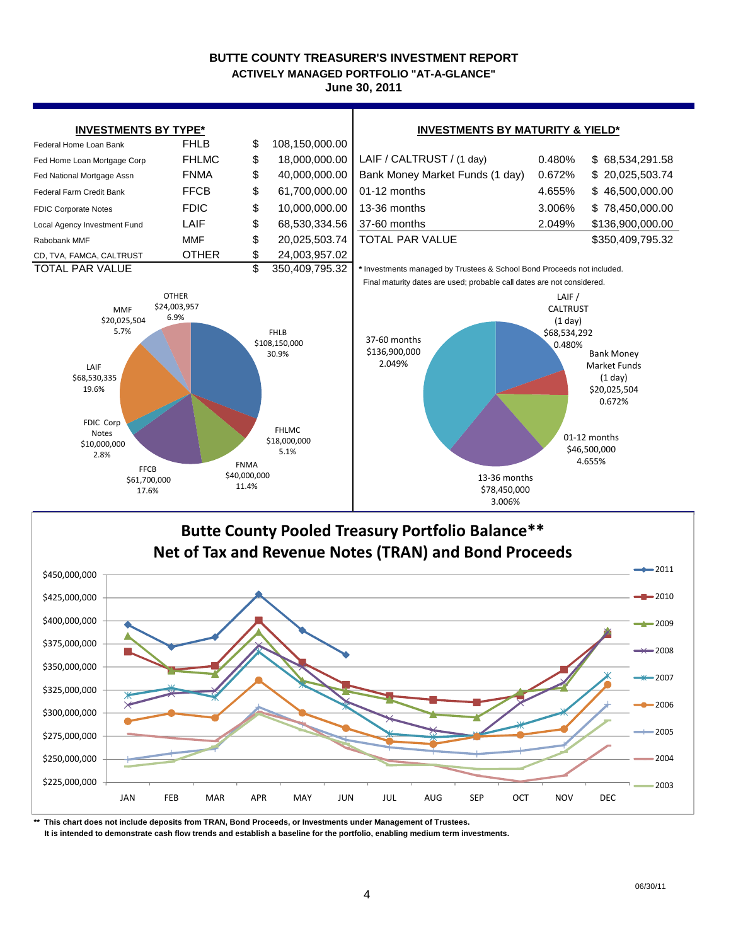**ACTIVELY MANAGED PORTFOLIO "AT-A-GLANCE"**

**June 30, 2011**



**\*\* This chart does not include deposits from TRAN, Bond Proceeds, or Investments under Management of Trustees.**

\$225,000,000 \$250,000,000

 **It is intended to demonstrate cash flow trends and establish a baseline for the portfolio, enabling medium term investments.**

2004

2003

JAN FEB MAR APR MAY JUN JUL AUG SEP OCT NOV DEC